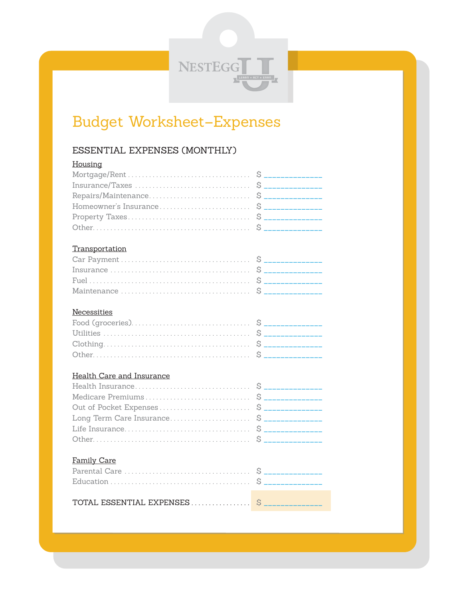NESTEGG

# Budget Worksheet-Expenses

## ESSENTIAL EXPENSES (MONTHLY)

| Housing               |  |
|-----------------------|--|
|                       |  |
|                       |  |
|                       |  |
|                       |  |
|                       |  |
|                       |  |
|                       |  |
| <b>Transportation</b> |  |
|                       |  |
|                       |  |
|                       |  |
|                       |  |
|                       |  |
| Necessities           |  |

## 

### **Health Care and Insurance**

#### Family Care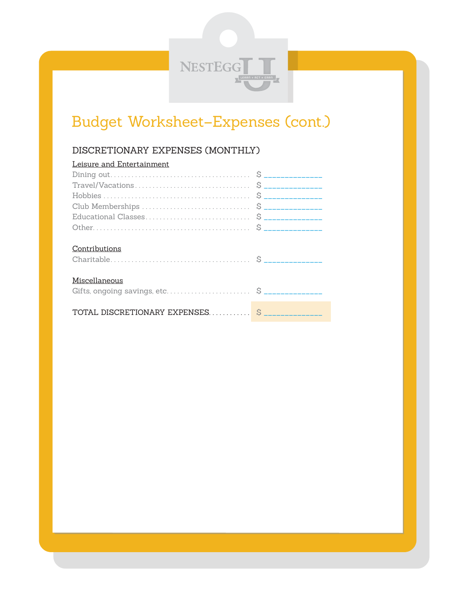

# Budget Worksheet–Expenses (cont.)

## DISCRETIONARY EXPENSES (MONTHLY)

| Leisure and Entertainment |  |
|---------------------------|--|
|                           |  |
|                           |  |
|                           |  |
|                           |  |
|                           |  |
|                           |  |
|                           |  |
| Contributions             |  |
|                           |  |
|                           |  |
| Miscellaneous             |  |
|                           |  |
|                           |  |
|                           |  |
|                           |  |